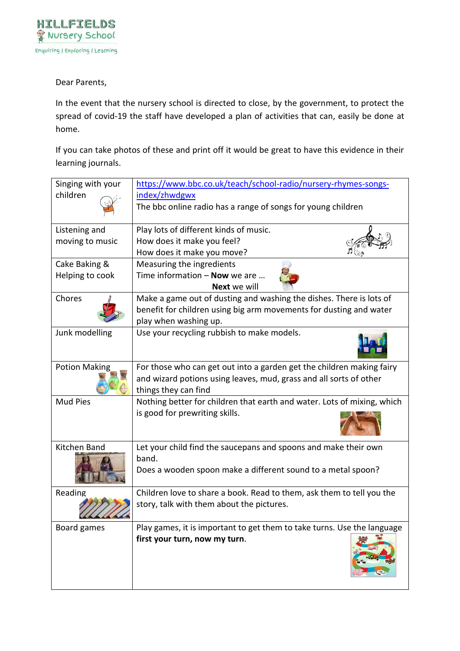

#### Dear Parents,

In the event that the nursery school is directed to close, by the government, to protect the spread of covid-19 the staff have developed a plan of activities that can, easily be done at home.

If you can take photos of these and print off it would be great to have this evidence in their learning journals.

| Singing with your<br>children | https://www.bbc.co.uk/teach/school-radio/nursery-rhymes-songs-<br>index/zhwdgwx |  |
|-------------------------------|---------------------------------------------------------------------------------|--|
|                               | The bbc online radio has a range of songs for young children                    |  |
| Listening and                 | Play lots of different kinds of music.                                          |  |
| moving to music               | How does it make you feel?                                                      |  |
|                               | How does it make you move?                                                      |  |
| Cake Baking &                 | Measuring the ingredients                                                       |  |
| Helping to cook               | Time information $-$ Now we are<br><b>Next</b> we will                          |  |
| Chores                        | Make a game out of dusting and washing the dishes. There is lots of             |  |
|                               | benefit for children using big arm movements for dusting and water              |  |
|                               | play when washing up.                                                           |  |
| Junk modelling                | Use your recycling rubbish to make models.                                      |  |
| <b>Potion Making</b>          | For those who can get out into a garden get the children making fairy           |  |
|                               | and wizard potions using leaves, mud, grass and all sorts of other              |  |
|                               | things they can find                                                            |  |
| <b>Mud Pies</b>               | Nothing better for children that earth and water. Lots of mixing, which         |  |
|                               | is good for prewriting skills.                                                  |  |
| Kitchen Band                  | Let your child find the saucepans and spoons and make their own                 |  |
|                               | band.                                                                           |  |
|                               | Does a wooden spoon make a different sound to a metal spoon?                    |  |
| Reading                       | Children love to share a book. Read to them, ask them to tell you the           |  |
|                               | story, talk with them about the pictures.                                       |  |
| Board games                   | Play games, it is important to get them to take turns. Use the language         |  |
|                               | first your turn, now my turn.                                                   |  |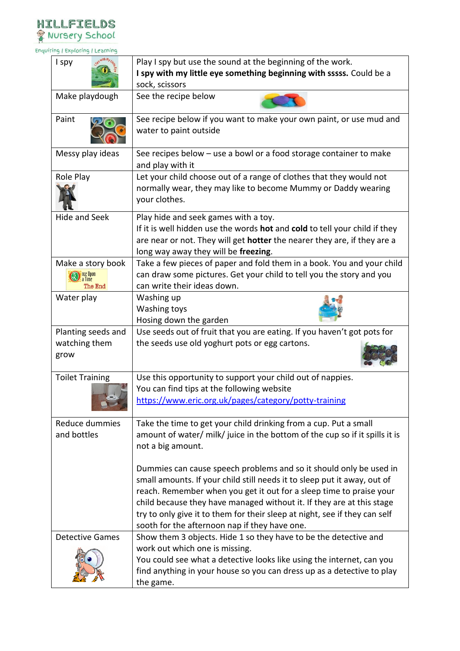

Enquiring / Exploring / Learning

| I spy                              | Play I spy but use the sound at the beginning of the work.                                                              |  |
|------------------------------------|-------------------------------------------------------------------------------------------------------------------------|--|
|                                    | I spy with my little eye something beginning with sssss. Could be a                                                     |  |
|                                    | sock, scissors                                                                                                          |  |
| Make playdough                     | See the recipe below                                                                                                    |  |
| Paint                              | See recipe below if you want to make your own paint, or use mud and                                                     |  |
|                                    | water to paint outside                                                                                                  |  |
| Messy play ideas                   | See recipes below - use a bowl or a food storage container to make<br>and play with it                                  |  |
| Role Play                          | Let your child choose out of a range of clothes that they would not                                                     |  |
|                                    | normally wear, they may like to become Mummy or Daddy wearing<br>your clothes.                                          |  |
| <b>Hide and Seek</b>               | Play hide and seek games with a toy.                                                                                    |  |
|                                    | If it is well hidden use the words <b>hot</b> and cold to tell your child if they                                       |  |
|                                    | are near or not. They will get <b>hotter</b> the nearer they are, if they are a<br>long way away they will be freezing. |  |
| Make a story book                  | Take a few pieces of paper and fold them in a book. You and your child                                                  |  |
| <b>D</b> nce Upon<br><b>a</b> Time | can draw some pictures. Get your child to tell you the story and you                                                    |  |
| The End                            | can write their ideas down.                                                                                             |  |
| Water play                         | Washing up                                                                                                              |  |
|                                    | Washing toys                                                                                                            |  |
|                                    | Hosing down the garden                                                                                                  |  |
| Planting seeds and                 | Use seeds out of fruit that you are eating. If you haven't got pots for                                                 |  |
| watching them<br>grow              | the seeds use old yoghurt pots or egg cartons.                                                                          |  |
| <b>Toilet Training</b>             | Use this opportunity to support your child out of nappies.                                                              |  |
|                                    | You can find tips at the following website                                                                              |  |
|                                    | https://www.eric.org.uk/pages/category/potty-training                                                                   |  |
| Reduce dummies                     | Take the time to get your child drinking from a cup. Put a small                                                        |  |
| and bottles                        | amount of water/ milk/ juice in the bottom of the cup so if it spills it is                                             |  |
|                                    | not a big amount.                                                                                                       |  |
|                                    | Dummies can cause speech problems and so it should only be used in                                                      |  |
|                                    | small amounts. If your child still needs it to sleep put it away, out of                                                |  |
|                                    | reach. Remember when you get it out for a sleep time to praise your                                                     |  |
|                                    | child because they have managed without it. If they are at this stage                                                   |  |
|                                    | try to only give it to them for their sleep at night, see if they can self                                              |  |
|                                    | sooth for the afternoon nap if they have one.                                                                           |  |
| <b>Detective Games</b>             | Show them 3 objects. Hide 1 so they have to be the detective and                                                        |  |
|                                    | work out which one is missing.                                                                                          |  |
|                                    | You could see what a detective looks like using the internet, can you                                                   |  |
|                                    | find anything in your house so you can dress up as a detective to play                                                  |  |
|                                    | the game.                                                                                                               |  |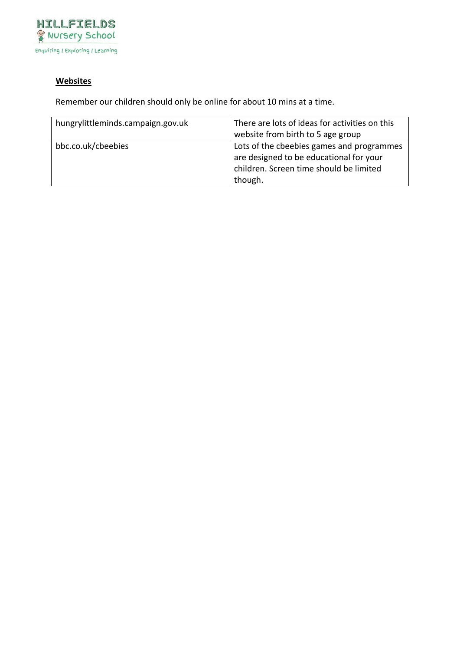

#### **Websites**

Remember our children should only be online for about 10 mins at a time.

| hungrylittleminds.campaign.gov.uk | There are lots of ideas for activities on this |
|-----------------------------------|------------------------------------------------|
|                                   | website from birth to 5 age group              |
| bbc.co.uk/cbeebies                | Lots of the cbeebies games and programmes      |
|                                   | are designed to be educational for your        |
|                                   | children. Screen time should be limited        |
|                                   | though.                                        |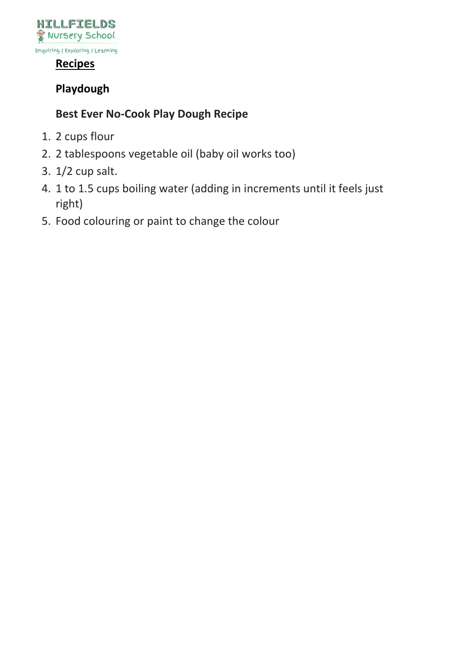

### **Recipes**

# **Playdough**

## **Best Ever No-Cook Play Dough Recipe**

- 1. 2 cups flour
- 2. 2 tablespoons vegetable oil (baby oil works too)
- 3. 1/2 cup salt.
- 4. 1 to 1.5 cups boiling water (adding in increments until it feels just right)
- 5. Food colouring or paint to change the colour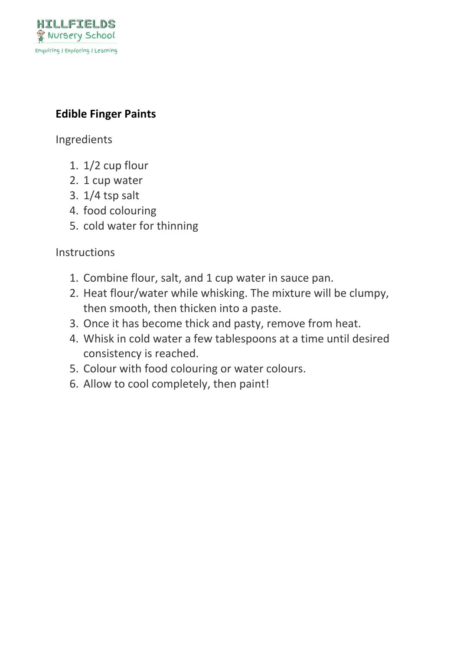

## **Edible Finger Paints**

Ingredients

- 1. 1/2 cup flour
- 2. 1 cup water
- 3. 1/4 tsp salt
- 4. food colouring
- 5. cold water for thinning

### **Instructions**

- 1. Combine flour, salt, and 1 cup water in sauce pan.
- 2. Heat flour/water while whisking. The mixture will be clumpy, then smooth, then thicken into a paste.
- 3. Once it has become thick and pasty, remove from heat.
- 4. Whisk in cold water a few tablespoons at a time until desired consistency is reached.
- 5. Colour with food colouring or water colours.
- 6. Allow to cool completely, then paint!